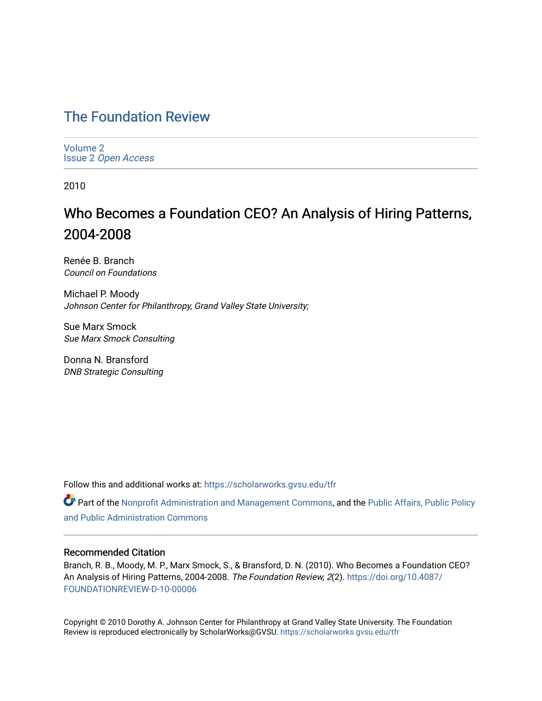## [The Foundation Review](https://scholarworks.gvsu.edu/tfr)

[Volume 2](https://scholarworks.gvsu.edu/tfr/vol2) Issue 2 [Open Access](https://scholarworks.gvsu.edu/tfr/vol2/iss2)

2010

# Who Becomes a Foundation CEO? An Analysis of Hiring Patterns, 2004-2008

Renée B. Branch Council on Foundations

Michael P. Moody Johnson Center for Philanthropy, Grand Valley State University;

Sue Marx Smock Sue Marx Smock Consulting

Donna N. Bransford DNB Strategic Consulting

Follow this and additional works at: [https://scholarworks.gvsu.edu/tfr](https://scholarworks.gvsu.edu/tfr?utm_source=scholarworks.gvsu.edu%2Ftfr%2Fvol2%2Fiss2%2F7&utm_medium=PDF&utm_campaign=PDFCoverPages)

**C** Part of the [Nonprofit Administration and Management Commons,](http://network.bepress.com/hgg/discipline/1228?utm_source=scholarworks.gvsu.edu%2Ftfr%2Fvol2%2Fiss2%2F7&utm_medium=PDF&utm_campaign=PDFCoverPages) and the Public Affairs, Public Policy [and Public Administration Commons](http://network.bepress.com/hgg/discipline/393?utm_source=scholarworks.gvsu.edu%2Ftfr%2Fvol2%2Fiss2%2F7&utm_medium=PDF&utm_campaign=PDFCoverPages) 

## Recommended Citation

Branch, R. B., Moody, M. P., Marx Smock, S., & Bransford, D. N. (2010). Who Becomes a Foundation CEO? An Analysis of Hiring Patterns, 2004-2008. The Foundation Review, 2(2). [https://doi.org/10.4087/](https://doi.org/10.4087/FOUNDATIONREVIEW-D-10-00006) [FOUNDATIONREVIEW-D-10-00006](https://doi.org/10.4087/FOUNDATIONREVIEW-D-10-00006)

Copyright © 2010 Dorothy A. Johnson Center for Philanthropy at Grand Valley State University. The Foundation Review is reproduced electronically by ScholarWorks@GVSU.<https://scholarworks.gvsu.edu/tfr>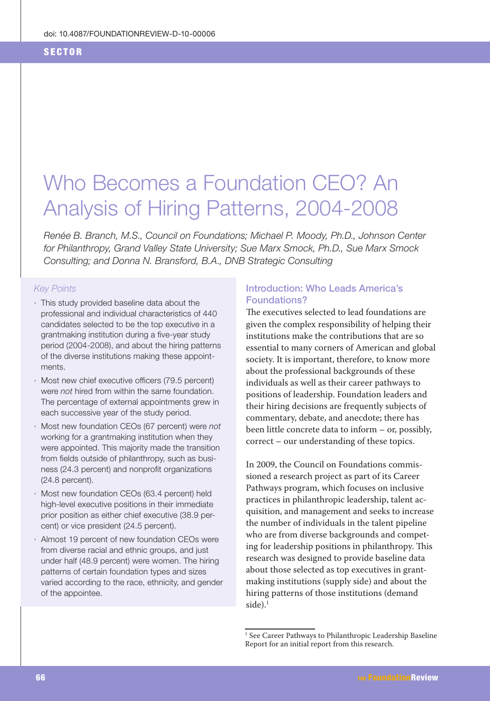#### **SECTOR**

# Who Becomes a Foundation CEO? An Analysis of Hiring Patterns, 2004-2008

Renée B. Branch, M.S., Council on Foundations; Michael P. Moody, Ph.D., Johnson Center for Philanthropy, Grand Valley State University; Sue Marx Smock, Ph.D., Sue Marx Smock Consulting; and Donna N. Bransford, B.A., DNB Strategic Consulting

#### **Key Points**

- · This study provided baseline data about the professional and individual characteristics of 440 candidates selected to be the top executive in a grantmaking institution during a five-year study period (2004-2008), and about the hiring patterns of the diverse institutions making these appointments.
- · Most new chief executive officers (79.5 percent) were not hired from within the same foundation. The percentage of external appointments grew in each successive year of the study period.
- · Most new foundation CEOs (67 percent) were not working for a grantmaking institution when they were appointed. This majority made the transition from fields outside of philanthropy, such as business (24.3 percent) and nonprofit organizations  $(24.8$  percent).
- · Most new foundation CEOs (63.4 percent) held high-level executive positions in their immediate prior position as either chief executive (38.9 percent) or vice president (24.5 percent).
- · Almost 19 percent of new foundation CEOs were from diverse racial and ethnic groups, and just under half (48.9 percent) were women. The hiring patterns of certain foundation types and sizes varied according to the race, ethnicity, and gender of the appointee.

## **Introduction: Who Leads America's** Foundations?

The executives selected to lead foundations are given the complex responsibility of helping their institutions make the contributions that are so essential to many corners of American and global society. It is important, therefore, to know more about the professional backgrounds of these individuals as well as their career pathways to positions of leadership. Foundation leaders and their hiring decisions are frequently subjects of commentary, debate, and anecdote; there has been little concrete data to inform – or, possibly, correct – our understanding of these topics.

In 2009, the Council on Foundations commissioned a research project as part of its Career Pathways program, which focuses on inclusive practices in philanthropic leadership, talent acquisition, and management and seeks to increase the number of individuals in the talent pipeline who are from diverse backgrounds and competing for leadership positions in philanthropy. This research was designed to provide baseline data about those selected as top executives in grantmaking institutions (supply side) and about the hiring patterns of those institutions (demand  $side).<sup>1</sup>$ 

<sup>&</sup>lt;sup>1</sup> See Career Pathways to Philanthropic Leadership Baseline Report for an initial report from this research.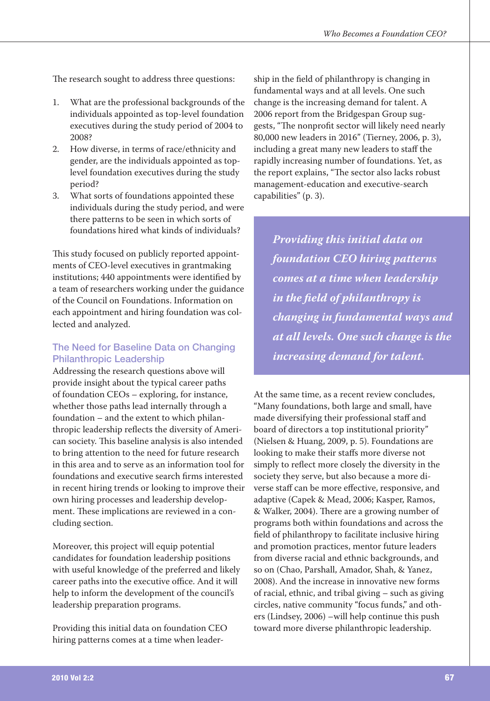The research sought to address three questions:

- What are the professional backgrounds of the 1. individuals appointed as top-level foundation executives during the study period of 2004 to 2008?
- How diverse, in terms of race/ethnicity and 2. gender, are the individuals appointed as toplevel foundation executives during the study period?
- What sorts of foundations appointed these 3. individuals during the study period, and were there patterns to be seen in which sorts of foundations hired what kinds of individuals?

This study focused on publicly reported appointments of CEO-level executives in grantmaking institutions; 440 appointments were identified by a team of researchers working under the guidance of the Council on Foundations. Information on each appointment and hiring foundation was collected and analyzed.

## The Need for Baseline Data on Changing **Philanthropic Leadership**

Addressing the research questions above will provide insight about the typical career paths of foundation CEOs – exploring, for instance, whether those paths lead internally through a foundation - and the extent to which philanthropic leadership reflects the diversity of American society. This baseline analysis is also intended to bring attention to the need for future research in this area and to serve as an information tool for foundations and executive search firms interested in recent hiring trends or looking to improve their own hiring processes and leadership development. These implications are reviewed in a concluding section.

Moreover, this project will equip potential candidates for foundation leadership positions with useful knowledge of the preferred and likely career paths into the executive office. And it will help to inform the development of the council's leadership preparation programs.

Providing this initial data on foundation CEO hiring patterns comes at a time when leadership in the field of philanthropy is changing in fundamental ways and at all levels. One such change is the increasing demand for talent. A 2006 report from the Bridgespan Group suggests, "The nonprofit sector will likely need nearly 80,000 new leaders in 2016" (Tierney, 2006, p. 3), including a great many new leaders to staff the rapidly increasing number of foundations. Yet, as the report explains, "The sector also lacks robust management-education and executive-search capabilities" (p. 3).

Providing this initial data on foundation CEO hiring patterns comes at a time when leadership in the field of philanthropy is changing in fundamental ways and at all levels. One such change is the increasing demand for talent.

At the same time, as a recent review concludes, "Many foundations, both large and small, have made diversifying their professional staff and board of directors a top institutional priority" (Nielsen & Huang, 2009, p. 5). Foundations are looking to make their staffs more diverse not simply to reflect more closely the diversity in the society they serve, but also because a more diverse staff can be more effective, responsive, and adaptive (Capek & Mead, 2006; Kasper, Ramos, & Walker, 2004). There are a growing number of programs both within foundations and across the field of philanthropy to facilitate inclusive hiring and promotion practices, mentor future leaders from diverse racial and ethnic backgrounds, and so on (Chao, Parshall, Amador, Shah, & Yanez, 2008). And the increase in innovative new forms of racial, ethnic, and tribal giving – such as giving circles, native community "focus funds," and others (Lindsey, 2006) –will help continue this push toward more diverse philanthropic leadership.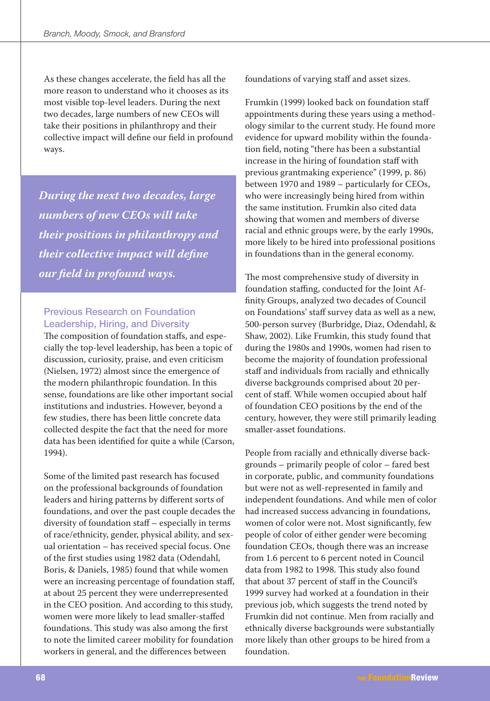As these changes accelerate, the field has all the more reason to understand who it chooses as its most visible top-level leaders. During the next two decades, large numbers of new CEOs will take their positions in philanthropy and their collective impact will define our field in profound ways.

During the next two decades, large numbers of new CEOs will take their positions in philanthropy and their collective impact will define our field in profound ways.

## **Previous Research on Foundation Leadership, Hiring, and Diversity**

The composition of foundation staffs, and especially the top-level leadership, has been a topic of discussion, curiosity, praise, and even criticism (Nielsen, 1972) almost since the emergence of the modern philanthropic foundation. In this sense, foundations are like other important social institutions and industries. However, beyond a few studies, there has been little concrete data collected despite the fact that the need for more data has been identified for quite a while (Carson, 1994).

Some of the limited past research has focused on the professional backgrounds of foundation leaders and hiring patterns by different sorts of foundations, and over the past couple decades the diversity of foundation staff - especially in terms of race/ethnicity, gender, physical ability, and sexual orientation - has received special focus. One of the first studies using 1982 data (Odendahl, Boris, & Daniels, 1985) found that while women were an increasing percentage of foundation staff, at about 25 percent they were underrepresented in the CEO position. And according to this study, women were more likely to lead smaller-staffed foundations. This study was also among the first to note the limited career mobility for foundation workers in general, and the differences between

foundations of varying staff and asset sizes.

Frumkin (1999) looked back on foundation staff appointments during these years using a methodology similar to the current study. He found more evidence for upward mobility within the foundation field, noting "there has been a substantial increase in the hiring of foundation staff with previous grantmaking experience" (1999, p. 86) between 1970 and 1989 - particularly for CEOs, who were increasingly being hired from within the same institution. Frumkin also cited data showing that women and members of diverse racial and ethnic groups were, by the early 1990s, more likely to be hired into professional positions in foundations than in the general economy.

The most comprehensive study of diversity in foundation staffing, conducted for the Joint Affinity Groups, analyzed two decades of Council on Foundations' staff survey data as well as a new, 500-person survey (Burbridge, Diaz, Odendahl, & Shaw, 2002). Like Frumkin, this study found that during the 1980s and 1990s, women had risen to become the majority of foundation professional staff and individuals from racially and ethnically diverse backgrounds comprised about 20 percent of staff. While women occupied about half of foundation CEO positions by the end of the century, however, they were still primarily leading smaller-asset foundations.

People from racially and ethnically diverse backgrounds – primarily people of color – fared best in corporate, public, and community foundations but were not as well-represented in family and independent foundations. And while men of color had increased success advancing in foundations, women of color were not. Most significantly, few people of color of either gender were becoming foundation CEOs, though there was an increase from 1.6 percent to 6 percent noted in Council data from 1982 to 1998. This study also found that about 37 percent of staff in the Council's 1999 survey had worked at a foundation in their previous job, which suggests the trend noted by Frumkin did not continue. Men from racially and ethnically diverse backgrounds were substantially more likely than other groups to be hired from a foundation.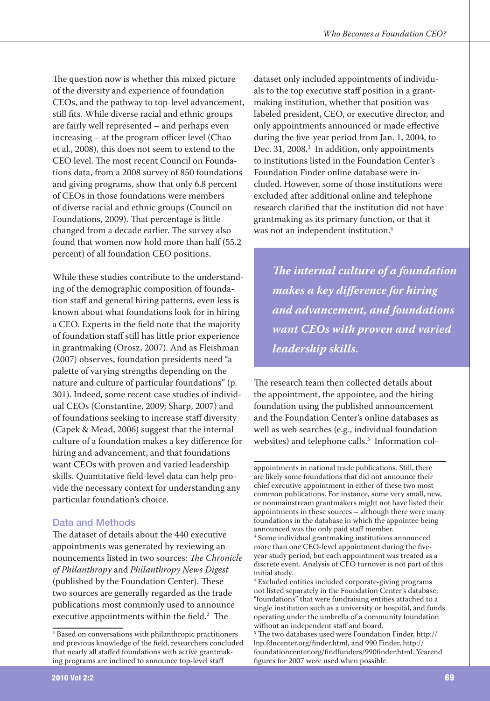The question now is whether this mixed picture of the diversity and experience of foundation CEOs, and the pathway to top-level advancement, still fits. While diverse racial and ethnic groups are fairly well represented – and perhaps even increasing – at the program officer level (Chao et al., 2008), this does not seem to extend to the CEO level. The most recent Council on Foundations data, from a 2008 survey of 850 foundations and giving programs, show that only 6.8 percent of CEOs in those foundations were members of diverse racial and ethnic groups (Council on Foundations, 2009). That percentage is little changed from a decade earlier. The survey also found that women now hold more than half (55.2 percent) of all foundation CEO positions.

While these studies contribute to the understanding of the demographic composition of foundation staff and general hiring patterns, even less is known about what foundations look for in hiring a CEO. Experts in the field note that the majority of foundation staff still has little prior experience in grantmaking (Orosz, 2007). And as Fleishman (2007) observes, foundation presidents need "a palette of varying strengths depending on the nature and culture of particular foundations" (p. 301). Indeed, some recent case studies of individual CEOs (Constantine, 2009; Sharp, 2007) and of foundations seeking to increase staff diversity (Capek & Mead, 2006) suggest that the internal culture of a foundation makes a key difference for hiring and advancement, and that foundations want CEOs with proven and varied leadership skills. Quantitative field-level data can help provide the necessary context for understanding any particular foundation's choice.

## Data and Methods

The dataset of details about the 440 executive appointments was generated by reviewing announcements listed in two sources: The Chronicle of Philanthropy and Philanthropy News Digest (published by the Foundation Center). These two sources are generally regarded as the trade publications most commonly used to announce executive appointments within the field.<sup>2</sup> The

dataset only included appointments of individuals to the top executive staff position in a grantmaking institution, whether that position was labeled president, CEO, or executive director, and only appointments announced or made effective during the five-year period from Jan. 1, 2004, to Dec. 31, 2008.<sup>3</sup> In addition, only appointments to institutions listed in the Foundation Center's Foundation Finder online database were included. However, some of those institutions were excluded after additional online and telephone research clarified that the institution did not have grantmaking as its primary function, or that it was not an independent institution.<sup>4</sup>

The internal culture of a foundation makes a key difference for hiring and advancement, and foundations want CEOs with proven and varied leadership skills.

The research team then collected details about the appointment, the appointee, and the hiring foundation using the published announcement and the Foundation Center's online databases as well as web searches (e.g., individual foundation websites) and telephone calls.<sup>5</sup> Information col-

<sup>&</sup>lt;sup>2</sup> Based on conversations with philanthropic practitioners and previous knowledge of the field, researchers concluded that nearly all staffed foundations with active grantmaking programs are inclined to announce top-level staff

appointments in national trade publications. Still, there are likely some foundations that did not announce their chief executive appointment in either of these two most common publications. For instance, some very small, new, or nonmainstream grantmakers might not have listed their appointments in these sources - although there were many foundations in the database in which the appointee being announced was the only paid staff member.

<sup>&</sup>lt;sup>3</sup> Some individual grantmaking institutions announced more than one CEO-level appointment during the fiveyear study period, but each appointment was treated as a discrete event. Analysis of CEO turnover is not part of this initial study.

<sup>&</sup>lt;sup>4</sup> Excluded entities included corporate-giving programs not listed separately in the Foundation Center's database, "foundations" that were fundraising entities attached to a single institution such as a university or hospital, and funds operating under the umbrella of a community foundation without an independent staff and board.

<sup>&</sup>lt;sup>5</sup> The two databases used were Foundation Finder, http:// lnp.fdncenter.org/finder.html, and 990 Finder, http:// foundationcenter.org/findfunders/990finder.html. Yearend figures for 2007 were used when possible.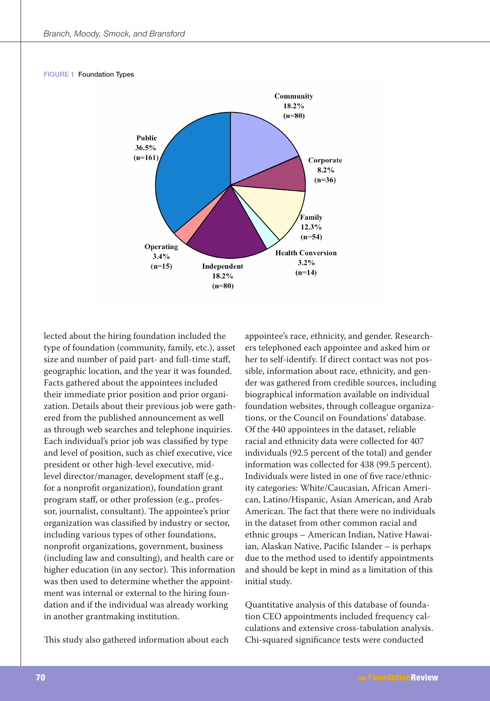#### **FIGURE 1 Foundation Types**



lected about the hiring foundation included the type of foundation (community, family, etc.), asset size and number of paid part- and full-time staff, geographic location, and the year it was founded. Facts gathered about the appointees included their immediate prior position and prior organization. Details about their previous job were gathered from the published announcement as well as through web searches and telephone inquiries. Each individual's prior job was classified by type and level of position, such as chief executive, vice president or other high-level executive, midlevel director/manager, development staff (e.g., for a nonprofit organization), foundation grant program staff, or other profession (e.g., professor, journalist, consultant). The appointee's prior organization was classified by industry or sector, including various types of other foundations, nonprofit organizations, government, business (including law and consulting), and health care or higher education (in any sector). This information was then used to determine whether the appointment was internal or external to the hiring foundation and if the individual was already working in another grantmaking institution.

This study also gathered information about each

appointee's race, ethnicity, and gender. Researchers telephoned each appointee and asked him or her to self-identify. If direct contact was not possible, information about race, ethnicity, and gender was gathered from credible sources, including biographical information available on individual foundation websites, through colleague organizations, or the Council on Foundations' database. Of the 440 appointees in the dataset, reliable racial and ethnicity data were collected for 407 individuals (92.5 percent of the total) and gender information was collected for 438 (99.5 percent). Individuals were listed in one of five race/ethnicity categories: White/Caucasian, African American, Latino/Hispanic, Asian American, and Arab American. The fact that there were no individuals in the dataset from other common racial and ethnic groups - American Indian, Native Hawaiian, Alaskan Native, Pacific Islander - is perhaps due to the method used to identify appointments and should be kept in mind as a limitation of this initial study.

Quantitative analysis of this database of foundation CEO appointments included frequency calculations and extensive cross-tabulation analysis. Chi-squared significance tests were conducted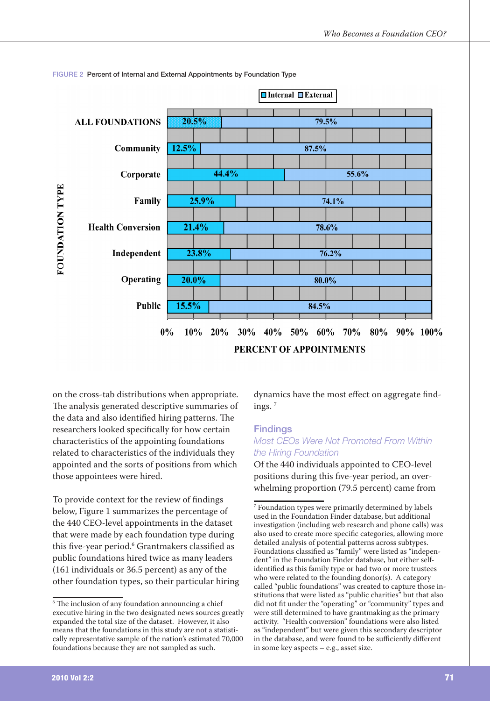

#### FIGURE 2 Percent of Internal and External Appointments by Foundation Type

on the cross-tab distributions when appropriate. The analysis generated descriptive summaries of the data and also identified hiring patterns. The researchers looked specifically for how certain characteristics of the appointing foundations related to characteristics of the individuals they appointed and the sorts of positions from which those appointees were hired.

To provide context for the review of findings below, Figure 1 summarizes the percentage of the 440 CEO-level appointments in the dataset that were made by each foundation type during this five-year period.<sup>6</sup> Grantmakers classified as public foundations hired twice as many leaders (161 individuals or 36.5 percent) as any of the other foundation types, so their particular hiring dynamics have the most effect on aggregate findings. $7$ 

#### **Findinas**

## Most CEOs Were Not Promoted From Within the Hiring Foundation

Of the 440 individuals appointed to CEO-level positions during this five-year period, an overwhelming proportion (79.5 percent) came from

<sup>&</sup>lt;sup>6</sup> The inclusion of any foundation announcing a chief executive hiring in the two designated news sources greatly expanded the total size of the dataset. However, it also means that the foundations in this study are not a statistically representative sample of the nation's estimated 70,000 foundations because they are not sampled as such.

<sup>&</sup>lt;sup>7</sup> Foundation types were primarily determined by labels used in the Foundation Finder database, but additional investigation (including web research and phone calls) was also used to create more specific categories, allowing more detailed analysis of potential patterns across subtypes. Foundations classified as "family" were listed as "independent" in the Foundation Finder database, but either selfidentified as this family type or had two or more trustees who were related to the founding donor(s). A category called "public foundations" was created to capture those institutions that were listed as "public charities" but that also did not fit under the "operating" or "community" types and were still determined to have grantmaking as the primary activity. "Health conversion" foundations were also listed as "independent" but were given this secondary descriptor in the database, and were found to be sufficiently different in some key aspects - e.g., asset size.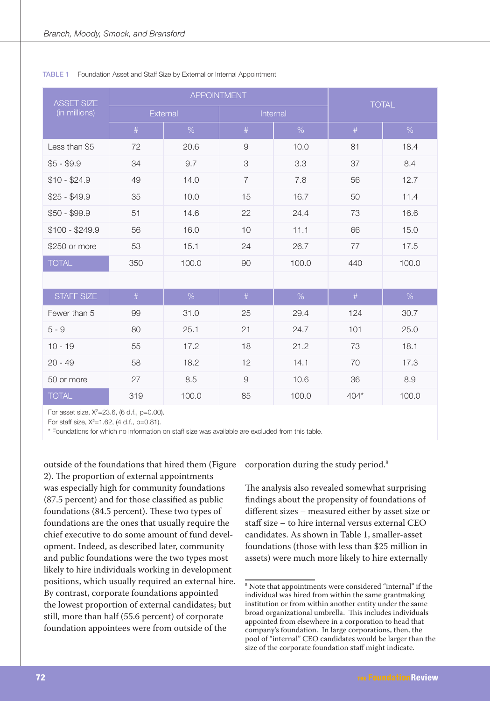| <b>ASSET SIZE</b> |      | <b>APPOINTMENT</b> | <b>TOTAL</b>   |          |        |       |  |
|-------------------|------|--------------------|----------------|----------|--------|-------|--|
| (in millions)     |      | External           |                | Internal |        |       |  |
|                   | $\#$ | %                  | $\#$           | $\%$     | $\#$   | $\%$  |  |
| Less than \$5     | 72   | 20.6               | $\hbox{9}$     | 10.0     | 81     | 18.4  |  |
| $$5 - $9.9$       | 34   | 9.7                | 3              | 3.3      | 37     | 8.4   |  |
| $$10 - $24.9$     | 49   | 14.0               | $\overline{7}$ | 7.8      | 56     | 12.7  |  |
| $$25 - $49.9$     | 35   | 10.0               | 15             | 16.7     | 50     | 11.4  |  |
| $$50 - $99.9$     | 51   | 14.6               | 22             | 24.4     | 73     | 16.6  |  |
| $$100 - $249.9$   | 56   | 16.0               | 10             | 11.1     | 66     | 15.0  |  |
| \$250 or more     | 53   | 15.1               | 24             | 26.7     | 77     | 17.5  |  |
| <b>TOTAL</b>      | 350  | 100.0              | 90             | 100.0    | 440    | 100.0 |  |
|                   |      |                    |                |          |        |       |  |
| STAFF SIZE        | #    | %                  | #              | $\%$     | $\#$   | $\%$  |  |
| Fewer than 5      | 99   | 31.0               | 25             | 29.4     | 124    | 30.7  |  |
| $5 - 9$           | 80   | 25.1               | 21             | 24.7     | 101    | 25.0  |  |
| $10 - 19$         | 55   | 17.2               | 18             | 21.2     | 73     | 18.1  |  |
| $20 - 49$         | 58   | 18.2               | 12             | 14.1     | 70     | 17.3  |  |
| 50 or more        | 27   | 8.5                | 9              | 10.6     | 36     | 8.9   |  |
| <b>TOTAL</b>      | 319  | 100.0              | 85             | 100.0    | $404*$ | 100.0 |  |

#### TABLE 1 Foundation Asset and Staff Size by External or Internal Appointment

For asset size, X<sup>2</sup>=23.6, (6 d.f., p=0.00).

For staff size,  $X^2 = 1.62$ , (4 d.f., p=0.81).

\* Foundations for which no information on staff size was available are excluded from this table.

outside of the foundations that hired them (Figure 2). The proportion of external appointments was especially high for community foundations (87.5 percent) and for those classified as public foundations (84.5 percent). These two types of foundations are the ones that usually require the chief executive to do some amount of fund development. Indeed, as described later, community and public foundations were the two types most likely to hire individuals working in development positions, which usually required an external hire. By contrast, corporate foundations appointed the lowest proportion of external candidates; but still, more than half (55.6 percent) of corporate foundation appointees were from outside of the

corporation during the study period.<sup>8</sup>

The analysis also revealed somewhat surprising findings about the propensity of foundations of different sizes - measured either by asset size or staff size - to hire internal versus external CEO candidates. As shown in Table 1, smaller-asset foundations (those with less than \$25 million in assets) were much more likely to hire externally

<sup>&</sup>lt;sup>8</sup> Note that appointments were considered "internal" if the individual was hired from within the same grantmaking institution or from within another entity under the same broad organizational umbrella. This includes individuals appointed from elsewhere in a corporation to head that company's foundation. In large corporations, then, the pool of "internal" CEO candidates would be larger than the size of the corporate foundation staff might indicate.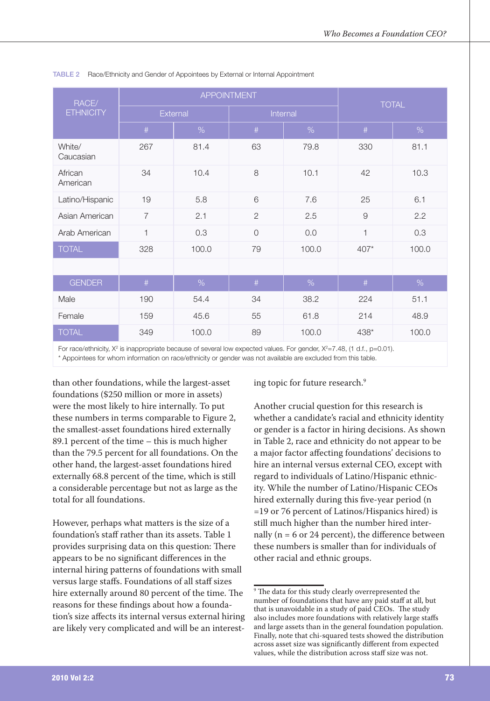| RACE/               |                | <b>APPOINTMENT</b> |                | <b>TOTAL</b> |        |       |  |
|---------------------|----------------|--------------------|----------------|--------------|--------|-------|--|
| <b>ETHNICITY</b>    |                | External           |                | Internal     |        |       |  |
|                     | #              | %                  | #              | %            | #      | %     |  |
| White/<br>Caucasian | 267            | 81.4               | 63             | 79.8         | 330    | 81.1  |  |
| African<br>American | 34             | 10.4               | 8              | 10.1         | 42     | 10.3  |  |
| Latino/Hispanic     | 19             | 5.8                | 6              | 7.6          | 25     | 6.1   |  |
| Asian American      | $\overline{7}$ | 2.1                | $\overline{2}$ | 2.5          | 9      | 2.2   |  |
| Arab American       | $\mathbf{1}$   | 0.3                | $\overline{0}$ | 0.0          | 1      | 0.3   |  |
| <b>TOTAL</b>        | 328            | 100.0              | 79<br>100.0    |              | $407*$ | 100.0 |  |
|                     |                |                    |                |              |        |       |  |
| <b>GENDER</b>       | $\#$           | $\%$               | $\#$           | %            | $\#$   | %     |  |
| Male                | 190            | 54.4               | 34             | 38.2         | 224    | 51.1  |  |
| Female              | 159            | 45.6               | 55             | 61.8         | 214    | 48.9  |  |
| <b>TOTAL</b>        | 349            | 100.0<br>89        |                | 100.0        | 438*   | 100.0 |  |

#### TABLE 2 Race/Ethnicity and Gender of Appointees by External or Internal Appointment

For race/ethnicity,  $X^2$  is inappropriate because of several low expected values. For gender,  $X^2=7.48$ , (1 d.f., p=0.01). \* Appointees for whom information on race/ethnicity or gender was not available are excluded from this table.

than other foundations, while the largest-asset foundations (\$250 million or more in assets) were the most likely to hire internally. To put these numbers in terms comparable to Figure 2, the smallest-asset foundations hired externally 89.1 percent of the time – this is much higher than the 79.5 percent for all foundations. On the other hand, the largest-asset foundations hired externally 68.8 percent of the time, which is still a considerable percentage but not as large as the total for all foundations

However, perhaps what matters is the size of a foundation's staff rather than its assets. Table 1 provides surprising data on this question: There appears to be no significant differences in the internal hiring patterns of foundations with small versus large staffs. Foundations of all staff sizes hire externally around 80 percent of the time. The reasons for these findings about how a foundation's size affects its internal versus external hiring are likely very complicated and will be an interesting topic for future research.<sup>9</sup>

Another crucial question for this research is whether a candidate's racial and ethnicity identity or gender is a factor in hiring decisions. As shown in Table 2, race and ethnicity do not appear to be a major factor affecting foundations' decisions to hire an internal versus external CEO, except with regard to individuals of Latino/Hispanic ethnicity. While the number of Latino/Hispanic CEOs hired externally during this five-year period (n =19 or 76 percent of Latinos/Hispanics hired) is still much higher than the number hired internally ( $n = 6$  or 24 percent), the difference between these numbers is smaller than for individuals of other racial and ethnic groups.

<sup>&</sup>lt;sup>9</sup> The data for this study clearly overrepresented the number of foundations that have any paid staff at all, but that is unavoidable in a study of paid CEOs. The study also includes more foundations with relatively large staffs and large assets than in the general foundation population. Finally, note that chi-squared tests showed the distribution across asset size was significantly different from expected values, while the distribution across staff size was not.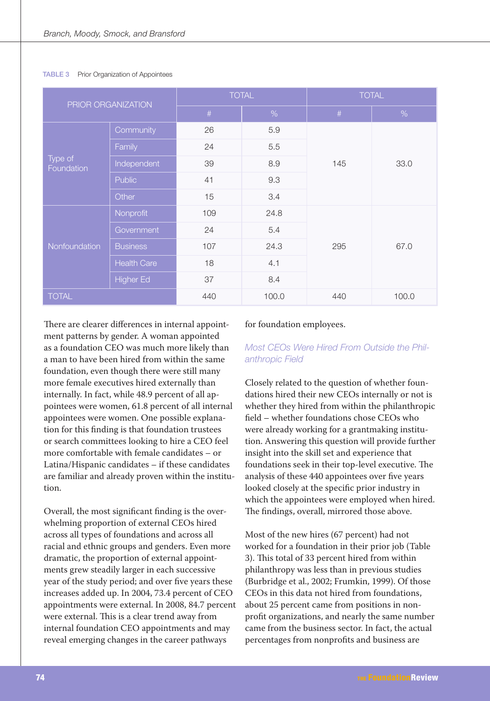| PRIOR ORGANIZATION    |                    | <b>TOTAL</b> |       | <b>TOTAL</b> |       |  |
|-----------------------|--------------------|--------------|-------|--------------|-------|--|
|                       |                    | $\#$         | $\%$  | $\#$         | %     |  |
|                       | Community          | 26           | 5.9   |              |       |  |
|                       | Family             | 24           | 5.5   |              | 33.0  |  |
| Type of<br>Foundation | Independent        | 39           | 8.9   | 145          |       |  |
|                       | <b>Public</b>      | 41           | 9.3   |              |       |  |
|                       | Other              | 15           | 3.4   |              |       |  |
|                       | Nonprofit          | 109          | 24.8  |              |       |  |
|                       | Government         | 24           | 5.4   |              |       |  |
| <b>Nonfoundation</b>  | <b>Business</b>    | 107          | 24.3  | 295          | 67.0  |  |
|                       | <b>Health Care</b> | 18           | 4.1   |              |       |  |
|                       | <b>Higher Ed</b>   | 37           | 8.4   |              |       |  |
| <b>TOTAL</b>          |                    | 440          | 100.0 | 440          | 100.0 |  |

#### **TABLE 3** Prior Organization of Appointees

There are clearer differences in internal appointment patterns by gender. A woman appointed as a foundation CEO was much more likely than a man to have been hired from within the same foundation, even though there were still many more female executives hired externally than internally. In fact, while 48.9 percent of all appointees were women, 61.8 percent of all internal appointees were women. One possible explanation for this finding is that foundation trustees or search committees looking to hire a CEO feel more comfortable with female candidates - or Latina/Hispanic candidates - if these candidates are familiar and already proven within the institution.

Overall, the most significant finding is the overwhelming proportion of external CEOs hired across all types of foundations and across all racial and ethnic groups and genders. Even more dramatic, the proportion of external appointments grew steadily larger in each successive year of the study period; and over five years these increases added up. In 2004, 73.4 percent of CEO appointments were external. In 2008, 84.7 percent were external. This is a clear trend away from internal foundation CEO appointments and may reveal emerging changes in the career pathways

#### for foundation employees.

## Most CEOs Were Hired From Outside the Philanthropic Field

Closely related to the question of whether foundations hired their new CEOs internally or not is whether they hired from within the philanthropic field - whether foundations chose CEOs who were already working for a grantmaking institution. Answering this question will provide further insight into the skill set and experience that foundations seek in their top-level executive. The analysis of these 440 appointees over five years looked closely at the specific prior industry in which the appointees were employed when hired. The findings, overall, mirrored those above.

Most of the new hires (67 percent) had not worked for a foundation in their prior job (Table 3). This total of 33 percent hired from within philanthropy was less than in previous studies (Burbridge et al., 2002; Frumkin, 1999). Of those CEOs in this data not hired from foundations. about 25 percent came from positions in nonprofit organizations, and nearly the same number came from the business sector. In fact, the actual percentages from nonprofits and business are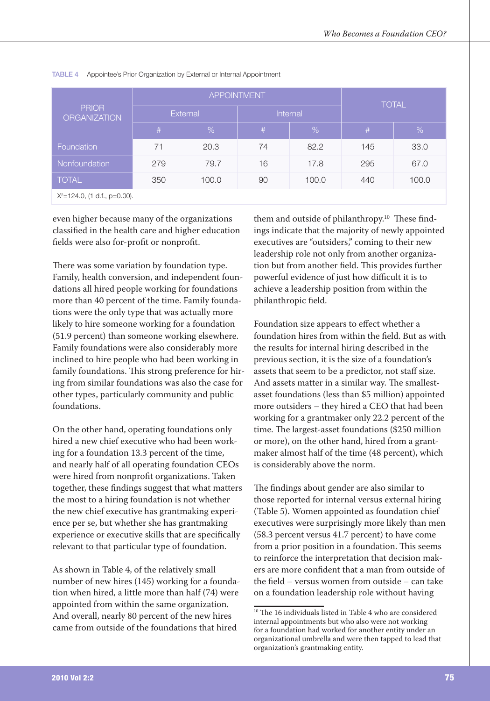| <b>PRIOR</b><br><b>ORGANIZATION</b> |     | <b>APPOINTMENT</b> | <b>TOTAL</b> |          |     |       |  |  |  |
|-------------------------------------|-----|--------------------|--------------|----------|-----|-------|--|--|--|
|                                     |     | External           |              | Internal |     |       |  |  |  |
|                                     | #   | %                  | #            | %        | #   | %     |  |  |  |
| Foundation                          | 71  | 20.3               | 74           | 82.2     | 145 | 33.0  |  |  |  |
| Nonfoundation                       | 279 | 79.7               | 16           | 17.8     | 295 | 67.0  |  |  |  |
| <b>TOTAL</b>                        | 350 | 100.0              | 90           | 100.0    | 440 | 100.0 |  |  |  |
| $X^2 = 124.0$ , (1 d.f., p=0.00).   |     |                    |              |          |     |       |  |  |  |

#### TABLE 4 Appointee's Prior Organization by External or Internal Appointment

even higher because many of the organizations classified in the health care and higher education fields were also for-profit or nonprofit.

There was some variation by foundation type. Family, health conversion, and independent foundations all hired people working for foundations more than 40 percent of the time. Family foundations were the only type that was actually more likely to hire someone working for a foundation (51.9 percent) than someone working elsewhere. Family foundations were also considerably more inclined to hire people who had been working in family foundations. This strong preference for hiring from similar foundations was also the case for other types, particularly community and public foundations.

On the other hand, operating foundations only hired a new chief executive who had been working for a foundation 13.3 percent of the time, and nearly half of all operating foundation CEOs were hired from nonprofit organizations. Taken together, these findings suggest that what matters the most to a hiring foundation is not whether the new chief executive has grantmaking experience per se, but whether she has grantmaking experience or executive skills that are specifically relevant to that particular type of foundation.

As shown in Table 4, of the relatively small number of new hires (145) working for a foundation when hired, a little more than half (74) were appointed from within the same organization. And overall, nearly 80 percent of the new hires came from outside of the foundations that hired

them and outside of philanthropy.<sup>10</sup> These findings indicate that the majority of newly appointed executives are "outsiders," coming to their new leadership role not only from another organization but from another field. This provides further powerful evidence of just how difficult it is to achieve a leadership position from within the philanthropic field.

Foundation size appears to effect whether a foundation hires from within the field. But as with the results for internal hiring described in the previous section, it is the size of a foundation's assets that seem to be a predictor, not staff size. And assets matter in a similar way. The smallestasset foundations (less than \$5 million) appointed more outsiders - they hired a CEO that had been working for a grantmaker only 22.2 percent of the time. The largest-asset foundations (\$250 million or more), on the other hand, hired from a grantmaker almost half of the time (48 percent), which is considerably above the norm.

The findings about gender are also similar to those reported for internal versus external hiring (Table 5). Women appointed as foundation chief executives were surprisingly more likely than men (58.3 percent versus 41.7 percent) to have come from a prior position in a foundation. This seems to reinforce the interpretation that decision makers are more confident that a man from outside of the field – versus women from outside – can take on a foundation leadership role without having

<sup>&</sup>lt;sup>10</sup> The 16 individuals listed in Table 4 who are considered internal appointments but who also were not working for a foundation had worked for another entity under an organizational umbrella and were then tapped to lead that organization's grantmaking entity.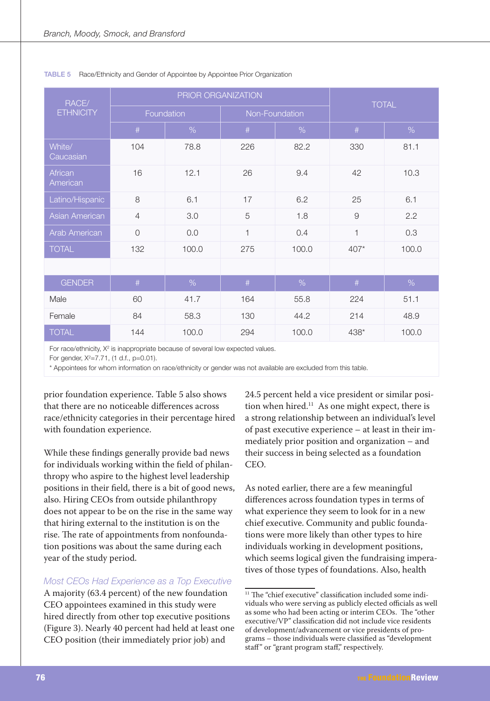| RACE/               |                | PRIOR ORGANIZATION | <b>TOTAL</b>   |       |              |       |  |
|---------------------|----------------|--------------------|----------------|-------|--------------|-------|--|
| <b>ETHNICITY</b>    |                | Foundation         | Non-Foundation |       |              |       |  |
|                     | $\#$           | %                  | #              | %     | #            | $\%$  |  |
| White/<br>Caucasian | 104            | 78.8               | 226            | 82.2  | 330          | 81.1  |  |
| African<br>American | 16             | 12.1               | 26             | 9.4   | 42           | 10.3  |  |
| Latino/Hispanic     | 8              | 6.1                | 17             | 6.2   | 25           | 6.1   |  |
| Asian American      | $\overline{4}$ | 3.0                | 5              | 1.8   | 9            | 2.2   |  |
| Arab American       | $\overline{0}$ | 0.0                | $\mathbf{1}$   | 0.4   | $\mathbf{1}$ | 0.3   |  |
| <b>TOTAL</b>        | 132            | 100.0              | 275<br>100.0   |       | $407*$       | 100.0 |  |
|                     |                |                    |                |       |              |       |  |
| <b>GENDER</b>       | #              | %                  | #              | %     | #            | %     |  |
| Male                | 60             | 41.7               | 164            | 55.8  | 224          | 51.1  |  |
| Female              | 84             | 58.3               | 130            | 44.2  | 214          | 48.9  |  |
| <b>TOTAL</b>        | 144            | 100.0              | 294            | 100.0 | 438*         | 100.0 |  |

#### TABLE 5 Race/Ethnicity and Gender of Appointee by Appointee Prior Organization

For race/ethnicity, X<sup>2</sup> is inappropriate because of several low expected values.

For gender,  $X^2 = 7.71$ , (1 d.f., p=0.01).

\* Appointees for whom information on race/ethnicity or gender was not available are excluded from this table.

prior foundation experience. Table 5 also shows that there are no noticeable differences across race/ethnicity categories in their percentage hired with foundation experience.

While these findings generally provide bad news for individuals working within the field of philanthropy who aspire to the highest level leadership positions in their field, there is a bit of good news, also. Hiring CEOs from outside philanthropy does not appear to be on the rise in the same way that hiring external to the institution is on the rise. The rate of appointments from nonfoundation positions was about the same during each year of the study period.

#### Most CEOs Had Experience as a Top Executive

A majority (63.4 percent) of the new foundation CEO appointees examined in this study were hired directly from other top executive positions (Figure 3). Nearly 40 percent had held at least one CEO position (their immediately prior job) and

24.5 percent held a vice president or similar position when hired.<sup>11</sup> As one might expect, there is a strong relationship between an individual's level of past executive experience – at least in their immediately prior position and organization – and their success in being selected as a foundation CEO.

As noted earlier, there are a few meaningful differences across foundation types in terms of what experience they seem to look for in a new chief executive. Community and public foundations were more likely than other types to hire individuals working in development positions, which seems logical given the fundraising imperatives of those types of foundations. Also, health

<sup>&</sup>lt;sup>11</sup> The "chief executive" classification included some individuals who were serving as publicly elected officials as well as some who had been acting or interim CEOs. The "other executive/VP" classification did not include vice residents of development/advancement or vice presidents of programs - those individuals were classified as "development" staff" or "grant program staff," respectively.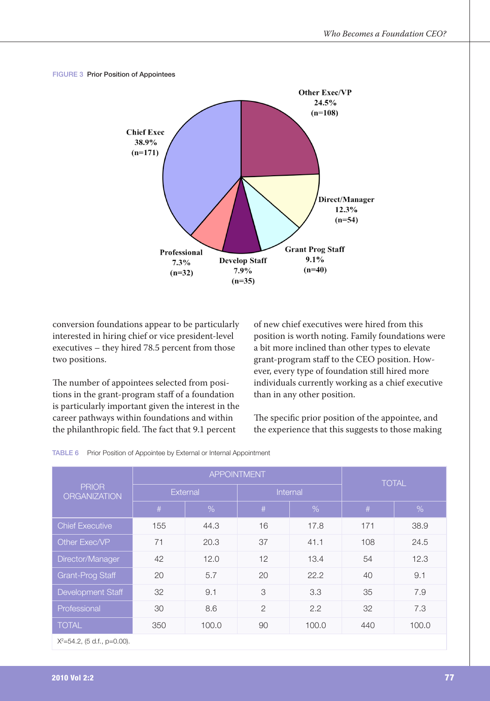#### FIGURE 3 Prior Position of Appointees



conversion foundations appear to be particularly interested in hiring chief or vice president-level executives - they hired 78.5 percent from those two positions.

The number of appointees selected from positions in the grant-program staff of a foundation is particularly important given the interest in the career pathways within foundations and within the philanthropic field. The fact that 9.1 percent

of new chief executives were hired from this position is worth noting. Family foundations were a bit more inclined than other types to elevate grant-program staff to the CEO position. However, every type of foundation still hired more individuals currently working as a chief executive than in any other position.

The specific prior position of the appointee, and the experience that this suggests to those making

|  |  |  |  | TABLE 6 Prior Position of Appointee by External or Internal Appointment |
|--|--|--|--|-------------------------------------------------------------------------|
|--|--|--|--|-------------------------------------------------------------------------|

|                                     |              | <b>APPOINTMENT</b> | <b>TOTAL</b>   |       |     |       |  |
|-------------------------------------|--------------|--------------------|----------------|-------|-----|-------|--|
| <b>PRIOR</b><br><b>ORGANIZATION</b> |              | External           | Internal       |       |     |       |  |
|                                     | #            | $\%$               | #              | %     | #   | %     |  |
| <b>Chief Executive</b>              | 155          | 44.3               | 16             | 17.8  | 171 | 38.9  |  |
| Other Exec/VP                       | 71           | 20.3               | 37             | 41.1  | 108 | 24.5  |  |
| Director/Manager                    | 42           | 12.0               | 12             | 13.4  | 54  | 12.3  |  |
| Grant-Prog Staff                    | 20           | 5.7                | 20             | 22.2  | 40  | 9.1   |  |
| Development Staff                   | 32           | 9.1                | 3              | 3.3   | 35  | 7.9   |  |
| Professional                        | 8.6<br>30    |                    | $\overline{2}$ | 2.2   | 32  | 7.3   |  |
| <b>TOTAL</b>                        | 350<br>100.0 |                    | 90             | 100.0 |     | 100.0 |  |

 $X^2 = 54.2$ , (5 d.f., p=0.00).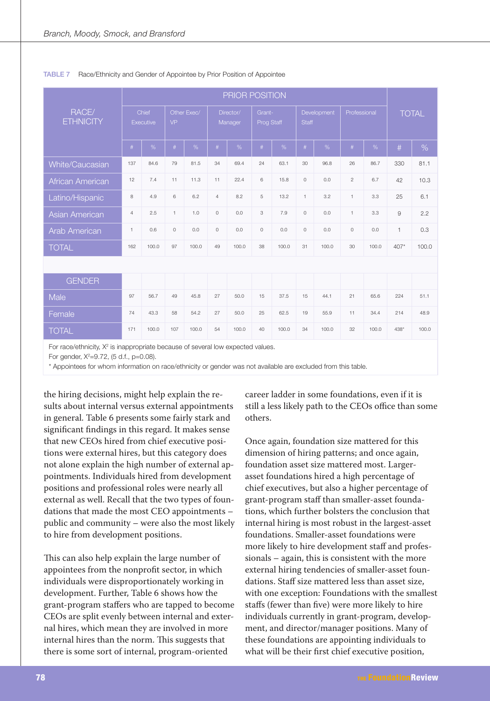|                                                                                              |                | PRIOR POSITION            |              |             |                |                      |                      |       |              |             |                |       |              |              |
|----------------------------------------------------------------------------------------------|----------------|---------------------------|--------------|-------------|----------------|----------------------|----------------------|-------|--------------|-------------|----------------|-------|--------------|--------------|
| RACE/<br><b>ETHNICITY</b>                                                                    |                | Chief<br><b>Executive</b> | VP           | Other Fxec/ |                | Director/<br>Manager | Grant-<br>Prog Staff |       | <b>Staff</b> | Development | Professional   |       |              | <b>TOTAL</b> |
|                                                                                              | #              | %                         | #            | %           | $\#$           | %                    | #                    | %     | #            | %           | $\#$           | %     | #            | %            |
| White/Caucasian                                                                              | 137            | 84.6                      | 79           | 81.5        | 34             | 69.4                 | 24                   | 63.1  | 30           | 96.8        | 26             | 86.7  | 330          | 81.1         |
| African American                                                                             | 12             | 7.4                       | 11           | 11.3        | 11             | 22.4                 | 6                    | 15.8  | $\circ$      | 0.0         | $\overline{c}$ | 6.7   | 42           | 10.3         |
| Latino/Hispanic                                                                              | 8              | 4.9                       | 6            | 6.2         | $\overline{4}$ | 8.2                  | 5                    | 13.2  | $\mathbf{1}$ | 3.2         | $\mathbf{1}$   | 3.3   | 25           | 6.1          |
| <b>Asian American</b>                                                                        | $\overline{4}$ | 2.5                       | $\mathbf{1}$ | 1.0         | $\circ$        | 0.0                  | 3                    | 7.9   | $\circ$      | 0.0         | $\mathbf{1}$   | 3.3   | 9            | 2.2          |
| Arab American                                                                                | $\overline{1}$ | 0.6                       | $\circ$      | 0.0         | $\circ$        | 0.0                  | $\circ$              | 0.0   | $\circ$      | 0.0         | $\circ$        | 0.0   | $\mathbf{1}$ | 0.3          |
| <b>TOTAL</b>                                                                                 | 162            | 100.0                     | 97           | 100.0       | 49             | 100.0                | 38                   | 100.0 | 31           | 100.0       | 30             | 100.0 | $407*$       | 100.0        |
|                                                                                              |                |                           |              |             |                |                      |                      |       |              |             |                |       |              |              |
| <b>GENDER</b>                                                                                |                |                           |              |             |                |                      |                      |       |              |             |                |       |              |              |
| Male                                                                                         | 97             | 56.7                      | 49           | 45.8        | 27             | 50.0                 | 15                   | 37.5  | 15           | 44.1        | 21             | 65.6  | 224          | 51.1         |
| Female                                                                                       | 74             | 43.3                      | 58           | 54.2        | 27             | 50.0                 | 25                   | 62.5  | 19           | 55.9        | 11             | 34.4  | 214          | 48.9         |
| <b>TOTAL</b>                                                                                 | 171            | 100.0                     | 107          | 100.0       | 54             | 100.0                | 40                   | 100.0 | 34           | 100.0       | 32             | 100.0 | 438*         | 100.0        |
| For a contribution. A/9 to to concertain to contract of contract form characteristic clients |                |                           |              |             |                |                      |                      |       |              |             |                |       |              |              |

#### TABLE 7 Race/Ethnicity and Gender of Appointee by Prior Position of Appointee

For race/ethnicity,  $X^2$  is inappropriate because of several low expected values.

For gender,  $X^2 = 9.72$ , (5 d.f., p=0.08).

\* Appointees for whom information on race/ethnicity or gender was not available are excluded from this table.

the hiring decisions, might help explain the results about internal versus external appointments in general. Table 6 presents some fairly stark and significant findings in this regard. It makes sense that new CEOs hired from chief executive positions were external hires, but this category does not alone explain the high number of external appointments. Individuals hired from development positions and professional roles were nearly all external as well. Recall that the two types of foundations that made the most CEO appointments public and community - were also the most likely to hire from development positions.

This can also help explain the large number of appointees from the nonprofit sector, in which individuals were disproportionately working in development. Further, Table 6 shows how the grant-program staffers who are tapped to become CEOs are split evenly between internal and external hires, which mean they are involved in more internal hires than the norm. This suggests that there is some sort of internal, program-oriented

career ladder in some foundations, even if it is still a less likely path to the CEOs office than some others.

Once again, foundation size mattered for this dimension of hiring patterns; and once again, foundation asset size mattered most. Largerasset foundations hired a high percentage of chief executives, but also a higher percentage of grant-program staff than smaller-asset foundations, which further bolsters the conclusion that internal hiring is most robust in the largest-asset foundations. Smaller-asset foundations were more likely to hire development staff and professionals - again, this is consistent with the more external hiring tendencies of smaller-asset foundations. Staff size mattered less than asset size. with one exception: Foundations with the smallest staffs (fewer than five) were more likely to hire individuals currently in grant-program, development, and director/manager positions. Many of these foundations are appointing individuals to what will be their first chief executive position,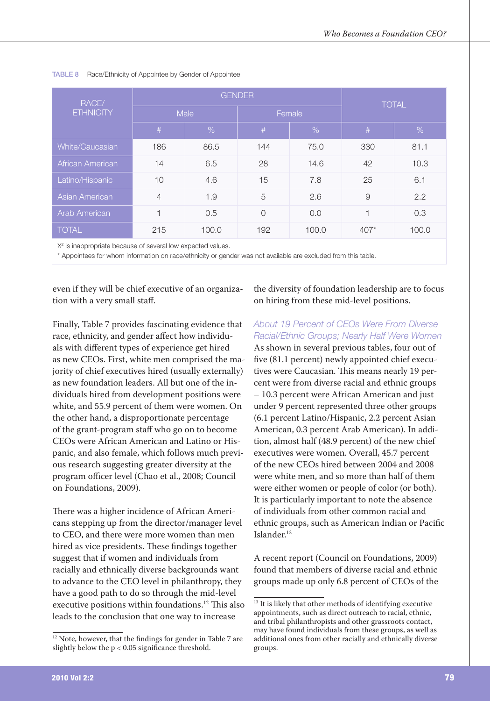| RACE/            |                | <b>GENDER</b> |                | <b>TOTAL</b>  |        |       |  |
|------------------|----------------|---------------|----------------|---------------|--------|-------|--|
| <b>ETHNICITY</b> | Male           |               |                | Female        |        |       |  |
|                  | $\#$           | $\%$          | #              | $\frac{9}{6}$ | #      | $\%$  |  |
| White/Caucasian  | 186            | 86.5          | 144            | 75.0          | 330    | 81.1  |  |
| African American | 14<br>6.5      |               | 28             | 14.6          | 42     | 10.3  |  |
| Latino/Hispanic  | 10             | 4.6           | 15             | 7.8           | 25     | 6.1   |  |
| Asian American   | $\overline{4}$ | 1.9           | 5              | 2.6           | 9      | 2.2   |  |
| Arab American    | 1<br>0.5       |               | $\overline{O}$ | 0.0           | 1      | 0.3   |  |
| <b>TOTAL</b>     | 215<br>100.0   |               | 192            | 100.0         | $407*$ | 100.0 |  |

#### TABLE 8 Race/Ethnicity of Appointee by Gender of Appointee

X<sup>2</sup> is inappropriate because of several low expected values.

\* Appointees for whom information on race/ethnicity or gender was not available are excluded from this table.

even if they will be chief executive of an organization with a very small staff.

Finally, Table 7 provides fascinating evidence that race, ethnicity, and gender affect how individuals with different types of experience get hired as new CEOs. First, white men comprised the majority of chief executives hired (usually externally) as new foundation leaders. All but one of the individuals hired from development positions were white, and 55.9 percent of them were women. On the other hand, a disproportionate percentage of the grant-program staff who go on to become CEOs were African American and Latino or Hispanic, and also female, which follows much previous research suggesting greater diversity at the program officer level (Chao et al., 2008; Council on Foundations, 2009).

There was a higher incidence of African Americans stepping up from the director/manager level to CEO, and there were more women than men hired as vice presidents. These findings together suggest that if women and individuals from racially and ethnically diverse backgrounds want to advance to the CEO level in philanthropy, they have a good path to do so through the mid-level executive positions within foundations.<sup>12</sup> This also leads to the conclusion that one way to increase

the diversity of foundation leadership are to focus on hiring from these mid-level positions.

#### About 19 Percent of CEOs Were From Diverse Racial/Ethnic Groups: Nearly Half Were Women

As shown in several previous tables, four out of five (81.1 percent) newly appointed chief executives were Caucasian. This means nearly 19 percent were from diverse racial and ethnic groups - 10.3 percent were African American and just under 9 percent represented three other groups (6.1 percent Latino/Hispanic, 2.2 percent Asian American, 0.3 percent Arab American). In addition, almost half (48.9 percent) of the new chief executives were women. Overall, 45.7 percent of the new CEOs hired between 2004 and 2008 were white men, and so more than half of them were either women or people of color (or both). It is particularly important to note the absence of individuals from other common racial and ethnic groups, such as American Indian or Pacific Islander.<sup>13</sup>

A recent report (Council on Foundations, 2009) found that members of diverse racial and ethnic groups made up only 6.8 percent of CEOs of the

<sup>&</sup>lt;sup>12</sup> Note, however, that the findings for gender in Table 7 are slightly below the  $p < 0.05$  significance threshold.

<sup>&</sup>lt;sup>13</sup> It is likely that other methods of identifying executive appointments, such as direct outreach to racial, ethnic, and tribal philanthropists and other grassroots contact, may have found individuals from these groups, as well as additional ones from other racially and ethnically diverse groups.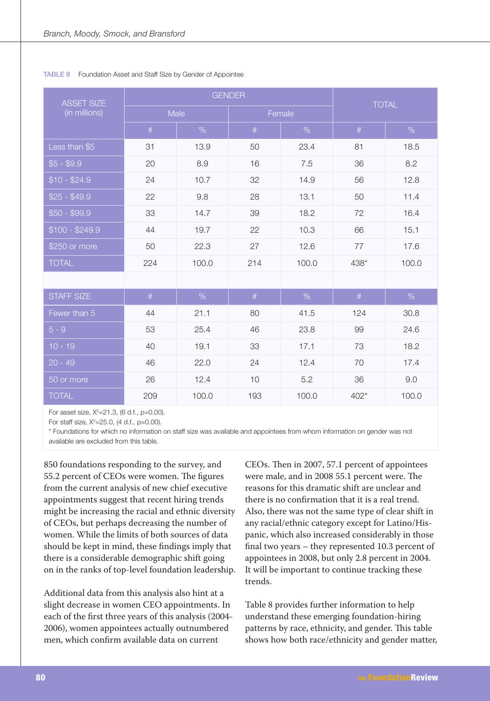| <b>ASSET SIZE</b> |      | <b>GENDER</b> |        | <b>TOTAL</b> |        |       |  |
|-------------------|------|---------------|--------|--------------|--------|-------|--|
| (in millions)     |      | Male          | Female |              |        |       |  |
|                   | $\#$ | %             | $\#$   | %            | #      | %     |  |
| Less than \$5     | 31   | 13.9          | 50     | 23.4         | 81     | 18.5  |  |
| $$5 - $9.9$       | 20   | 8.9           | 16     | 7.5          | 36     | 8.2   |  |
| $$10 - $24.9$     | 24   | 10.7          | 32     | 14.9         | 56     | 12.8  |  |
| $$25 - $49.9$     | 22   | 9.8           | 28     | 13.1         | 50     | 11.4  |  |
| $$50 - $99.9$     | 33   | 14.7          | 39     | 18.2         | 72     | 16.4  |  |
| $$100 - $249.9$   | 44   | 19.7          | 22     | 10.3         | 66     | 15.1  |  |
| \$250 or more     | 50   | 22.3          | 27     | 12.6         | 77     | 17.6  |  |
| <b>TOTAL</b>      | 224  | 100.0         | 214    | 100.0        | 438*   | 100.0 |  |
|                   |      |               |        |              |        |       |  |
| <b>STAFF SIZE</b> | $\#$ | $\%$          | $\#$   | $\%$         | $\#$   | %     |  |
| Fewer than 5      | 44   | 21.1          | 80     | 41.5         | 124    | 30.8  |  |
| $5 - 9$           | 53   | 25.4          | 46     | 23.8         | 99     | 24.6  |  |
| $10 - 19$         | 40   | 19.1          | 33     | 17.1         | 73     | 18.2  |  |
| $20 - 49$         | 46   | 22.0          | 24     | 12.4         | 70     | 17.4  |  |
| 50 or more        | 26   | 12.4          | 10     | 5.2          | 36     | 9.0   |  |
| <b>TOTAL</b>      | 209  | 100.0         | 193    | 100.0        | $402*$ | 100.0 |  |

#### TABLE 9 Foundation Asset and Staff Size by Gender of Appointee

For asset size, X<sup>2</sup>=21.3, (6 d.f., p=0.00).

For staff size,  $X^2 = 25.0$ , (4 d.f., p=0.00).

\* Foundations for which no information on staff size was available and appointees from whom information on gender was not available are excluded from this table.

850 foundations responding to the survey, and 55.2 percent of CEOs were women. The figures from the current analysis of new chief executive appointments suggest that recent hiring trends might be increasing the racial and ethnic diversity of CEOs, but perhaps decreasing the number of women. While the limits of both sources of data should be kept in mind, these findings imply that there is a considerable demographic shift going on in the ranks of top-level foundation leadership.

Additional data from this analysis also hint at a slight decrease in women CEO appointments. In each of the first three years of this analysis (2004-2006), women appointees actually outnumbered men, which confirm available data on current

CEOs. Then in 2007, 57.1 percent of appointees were male, and in 2008 55.1 percent were. The reasons for this dramatic shift are unclear and there is no confirmation that it is a real trend. Also, there was not the same type of clear shift in any racial/ethnic category except for Latino/Hispanic, which also increased considerably in those final two years  $-$  they represented 10.3 percent of appointees in 2008, but only 2.8 percent in 2004. It will be important to continue tracking these trends.

Table 8 provides further information to help understand these emerging foundation-hiring patterns by race, ethnicity, and gender. This table shows how both race/ethnicity and gender matter,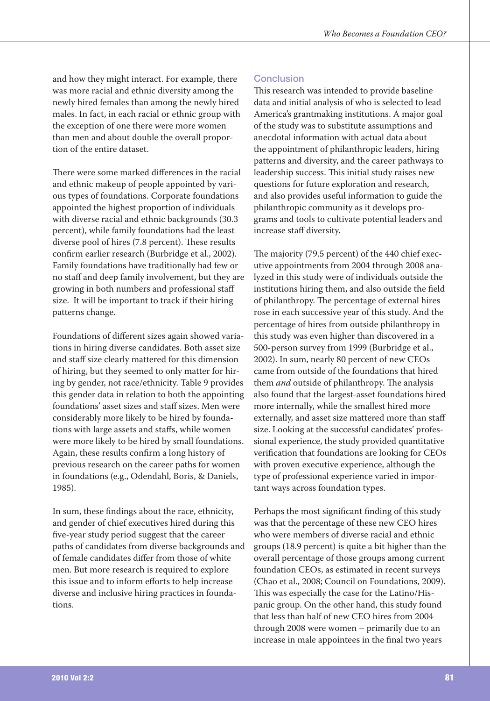and how they might interact. For example, there was more racial and ethnic diversity among the newly hired females than among the newly hired males. In fact, in each racial or ethnic group with the exception of one there were more women than men and about double the overall proportion of the entire dataset.

There were some marked differences in the racial and ethnic makeup of people appointed by various types of foundations. Corporate foundations appointed the highest proportion of individuals with diverse racial and ethnic backgrounds (30.3 percent), while family foundations had the least diverse pool of hires (7.8 percent). These results confirm earlier research (Burbridge et al., 2002). Family foundations have traditionally had few or no staff and deep family involvement, but they are growing in both numbers and professional staff size. It will be important to track if their hiring patterns change.

Foundations of different sizes again showed variations in hiring diverse candidates. Both asset size and staff size clearly mattered for this dimension of hiring, but they seemed to only matter for hiring by gender, not race/ethnicity. Table 9 provides this gender data in relation to both the appointing foundations' asset sizes and staff sizes. Men were considerably more likely to be hired by foundations with large assets and staffs, while women were more likely to be hired by small foundations. Again, these results confirm a long history of previous research on the career paths for women in foundations (e.g., Odendahl, Boris, & Daniels, 1985).

In sum, these findings about the race, ethnicity, and gender of chief executives hired during this five-year study period suggest that the career paths of candidates from diverse backgrounds and of female candidates differ from those of white men. But more research is required to explore this issue and to inform efforts to help increase diverse and inclusive hiring practices in foundations.

## **Conclusion**

This research was intended to provide baseline data and initial analysis of who is selected to lead America's grantmaking institutions. A major goal of the study was to substitute assumptions and anecdotal information with actual data about the appointment of philanthropic leaders, hiring patterns and diversity, and the career pathways to leadership success. This initial study raises new questions for future exploration and research, and also provides useful information to guide the philanthropic community as it develops programs and tools to cultivate potential leaders and increase staff diversity.

The majority (79.5 percent) of the 440 chief executive appointments from 2004 through 2008 analyzed in this study were of individuals outside the institutions hiring them, and also outside the field of philanthropy. The percentage of external hires rose in each successive year of this study. And the percentage of hires from outside philanthropy in this study was even higher than discovered in a 500-person survey from 1999 (Burbridge et al., 2002). In sum, nearly 80 percent of new CEOs came from outside of the foundations that hired them and outside of philanthropy. The analysis also found that the largest-asset foundations hired more internally, while the smallest hired more externally, and asset size mattered more than staff size. Looking at the successful candidates' professional experience, the study provided quantitative verification that foundations are looking for CEOs with proven executive experience, although the type of professional experience varied in important ways across foundation types.

Perhaps the most significant finding of this study was that the percentage of these new CEO hires who were members of diverse racial and ethnic groups (18.9 percent) is quite a bit higher than the overall percentage of those groups among current foundation CEOs, as estimated in recent surveys (Chao et al., 2008; Council on Foundations, 2009). This was especially the case for the Latino/Hispanic group. On the other hand, this study found that less than half of new CEO hires from 2004 through 2008 were women - primarily due to an increase in male appointees in the final two years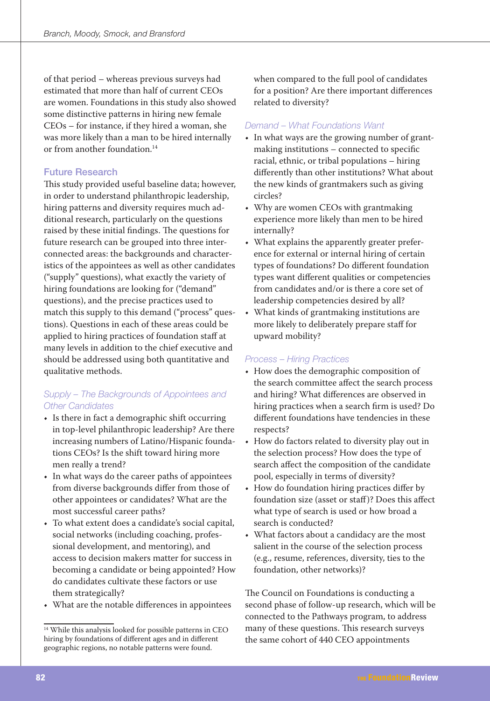of that period - whereas previous surveys had estimated that more than half of current CEOs are women. Foundations in this study also showed some distinctive patterns in hiring new female CEOs - for instance, if they hired a woman, she was more likely than a man to be hired internally or from another foundation.<sup>14</sup>

### **Future Research**

This study provided useful baseline data; however, in order to understand philanthropic leadership, hiring patterns and diversity requires much additional research, particularly on the questions raised by these initial findings. The questions for future research can be grouped into three interconnected areas: the backgrounds and characteristics of the appointees as well as other candidates ("supply" questions), what exactly the variety of hiring foundations are looking for ("demand" questions), and the precise practices used to match this supply to this demand ("process" questions). Questions in each of these areas could be applied to hiring practices of foundation staff at many levels in addition to the chief executive and should be addressed using both quantitative and qualitative methods.

## Supply - The Backgrounds of Appointees and **Other Candidates**

- Is there in fact a demographic shift occurring in top-level philanthropic leadership? Are there increasing numbers of Latino/Hispanic foundations CEOs? Is the shift toward hiring more men really a trend?
- In what ways do the career paths of appointees from diverse backgrounds differ from those of other appointees or candidates? What are the most successful career paths?
- To what extent does a candidate's social capital, social networks (including coaching, professional development, and mentoring), and access to decision makers matter for success in becoming a candidate or being appointed? How do candidates cultivate these factors or use them strategically?
- What are the notable differences in appointees

when compared to the full pool of candidates for a position? Are there important differences related to diversity?

## Demand - What Foundations Want

- In what ways are the growing number of grantmaking institutions – connected to specific racial, ethnic, or tribal populations - hiring differently than other institutions? What about the new kinds of grantmakers such as giving circles?
- Why are women CEOs with grantmaking experience more likely than men to be hired internally?
- What explains the apparently greater preference for external or internal hiring of certain types of foundations? Do different foundation types want different qualities or competencies from candidates and/or is there a core set of leadership competencies desired by all?
- What kinds of grantmaking institutions are more likely to deliberately prepare staff for upward mobility?

## **Process - Hiring Practices**

- How does the demographic composition of the search committee affect the search process and hiring? What differences are observed in hiring practices when a search firm is used? Do different foundations have tendencies in these respects?
- How do factors related to diversity play out in  $\bullet$ the selection process? How does the type of search affect the composition of the candidate pool, especially in terms of diversity?
- How do foundation hiring practices differ by foundation size (asset or staff)? Does this affect what type of search is used or how broad a search is conducted?
- What factors about a candidacy are the most salient in the course of the selection process (e.g., resume, references, diversity, ties to the foundation, other networks)?

The Council on Foundations is conducting a second phase of follow-up research, which will be connected to the Pathways program, to address many of these questions. This research surveys the same cohort of 440 CEO appointments

<sup>&</sup>lt;sup>14</sup> While this analysis looked for possible patterns in CEO hiring by foundations of different ages and in different geographic regions, no notable patterns were found.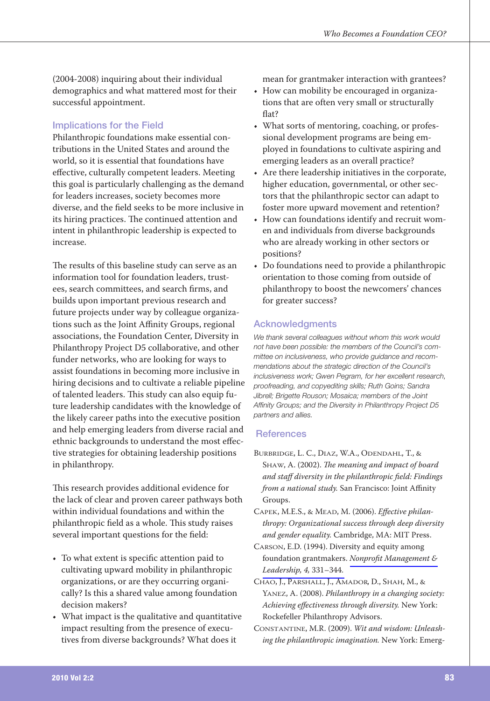(2004-2008) inquiring about their individual demographics and what mattered most for their successful appointment.

## **Implications for the Field**

Philanthropic foundations make essential contributions in the United States and around the world, so it is essential that foundations have effective, culturally competent leaders. Meeting this goal is particularly challenging as the demand for leaders increases, society becomes more diverse, and the field seeks to be more inclusive in its hiring practices. The continued attention and intent in philanthropic leadership is expected to increase.

The results of this baseline study can serve as an information tool for foundation leaders, trustees, search committees, and search firms, and builds upon important previous research and future projects under way by colleague organizations such as the Joint Affinity Groups, regional associations, the Foundation Center, Diversity in Philanthropy Project D5 collaborative, and other funder networks, who are looking for ways to assist foundations in becoming more inclusive in hiring decisions and to cultivate a reliable pipeline of talented leaders. This study can also equip future leadership candidates with the knowledge of the likely career paths into the executive position and help emerging leaders from diverse racial and ethnic backgrounds to understand the most effective strategies for obtaining leadership positions in philanthropy.

This research provides additional evidence for the lack of clear and proven career pathways both within individual foundations and within the philanthropic field as a whole. This study raises several important questions for the field:

- To what extent is specific attention paid to cultivating upward mobility in philanthropic organizations, or are they occurring organically? Is this a shared value among foundation decision makers?
- What impact is the qualitative and quantitative impact resulting from the presence of executives from diverse backgrounds? What does it

mean for grantmaker interaction with grantees?

- How can mobility be encouraged in organizations that are often very small or structurally flat?
- What sorts of mentoring, coaching, or professional development programs are being employed in foundations to cultivate aspiring and emerging leaders as an overall practice?
- Are there leadership initiatives in the corporate, higher education, governmental, or other sectors that the philanthropic sector can adapt to foster more upward movement and retention?
- How can foundations identify and recruit women and individuals from diverse backgrounds who are already working in other sectors or positions?
- Do foundations need to provide a philanthropic orientation to those coming from outside of philanthropy to boost the newcomers' chances for greater success?

## **Acknowledgments**

We thank several colleagues without whom this work would not have been possible: the members of the Council's committee on inclusiveness, who provide quidance and recommendations about the strategic direction of the Council's inclusiveness work; Gwen Pegram, for her excellent research, proofreading, and copyediting skills; Ruth Goins; Sandra Jibrell; Brigette Rouson; Mosaica; members of the Joint Affinity Groups; and the Diversity in Philanthropy Project D5 partners and allies.

## **References**

- BURBRIDGE, L. C., DIAZ, W.A., ODENDAHL, T., & SHAW, A. (2002). The meaning and impact of board and staff diversity in the philanthropic field: Findings from a national study. San Francisco: Joint Affinity Groups.
- CAPEK, M.E.S., & MEAD, M. (2006). Effective philanthropy: Organizational success through deep diversity and gender equality. Cambridge, MA: MIT Press.
- CARSON, E.D. (1994). Diversity and equity among foundation grantmakers. Nonprofit Management & Leadership, 4, 331-344.
- CHAO, J., PARSHALL, J., AMADOR, D., SHAH, M., & YANEZ, A. (2008). Philanthropy in a changing society: Achieving effectiveness through diversity. New York: Rockefeller Philanthropy Advisors.
- CONSTANTINE, M.R. (2009). Wit and wisdom: Unleashing the philanthropic imagination. New York: Emerg-